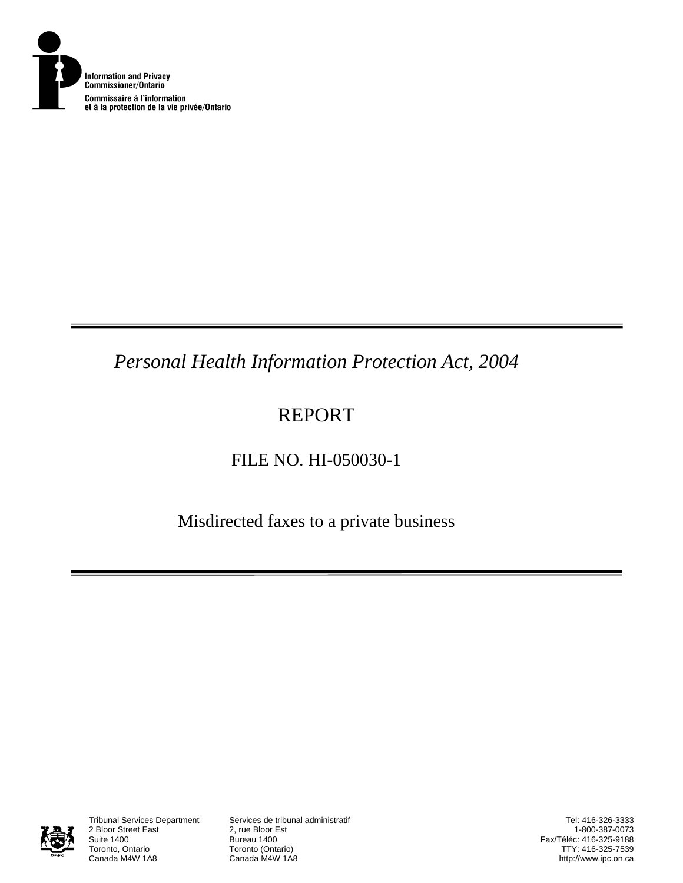

*Personal Health Information Protection Act, 2004* 

# REPORT

## FILE NO. HI-050030-1

Misdirected faxes to a private business



2 Bloor Street East<br>Suite 1400 Suite 1400<br>Toronto, Ontario **Bureau 1400**<br>Toronto (Onta Toronto, Ontario **Toronto (Ontario)**<br>Canada M4W 1A8 **Canada M4W 1A8** 

Tribunal Services Department Services de tribunal administratif

Tel: 416-326-3333 1-800-387-0073 Fax/Téléc: 416-325-9188 TTY: 416-325-7539 http://www.ipc.on.ca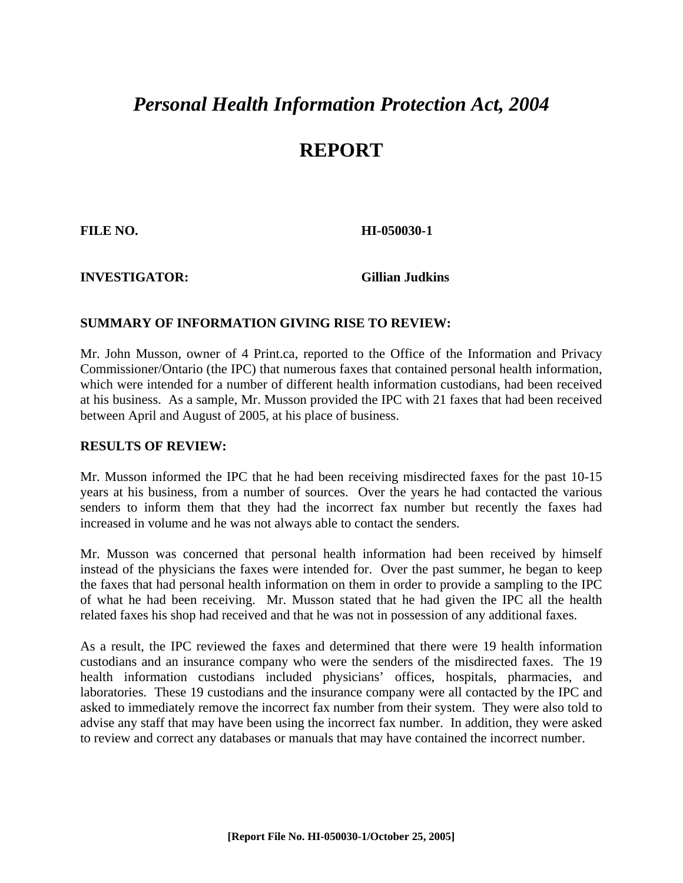# *Personal Health Information Protection Act, 2004*

### **REPORT**

**FILE NO. HI-050030-1** 

**INVESTIGATOR: Gillian Judkins**

### **SUMMARY OF INFORMATION GIVING RISE TO REVIEW:**

Mr. John Musson, owner of 4 Print.ca, reported to the Office of the Information and Privacy Commissioner/Ontario (the IPC) that numerous faxes that contained personal health information, which were intended for a number of different health information custodians, had been received at his business. As a sample, Mr. Musson provided the IPC with 21 faxes that had been received between April and August of 2005, at his place of business.

#### **RESULTS OF REVIEW:**

Mr. Musson informed the IPC that he had been receiving misdirected faxes for the past 10-15 years at his business, from a number of sources. Over the years he had contacted the various senders to inform them that they had the incorrect fax number but recently the faxes had increased in volume and he was not always able to contact the senders.

Mr. Musson was concerned that personal health information had been received by himself instead of the physicians the faxes were intended for. Over the past summer, he began to keep the faxes that had personal health information on them in order to provide a sampling to the IPC of what he had been receiving. Mr. Musson stated that he had given the IPC all the health related faxes his shop had received and that he was not in possession of any additional faxes.

As a result, the IPC reviewed the faxes and determined that there were 19 health information custodians and an insurance company who were the senders of the misdirected faxes. The 19 health information custodians included physicians' offices, hospitals, pharmacies, and laboratories. These 19 custodians and the insurance company were all contacted by the IPC and asked to immediately remove the incorrect fax number from their system. They were also told to advise any staff that may have been using the incorrect fax number. In addition, they were asked to review and correct any databases or manuals that may have contained the incorrect number.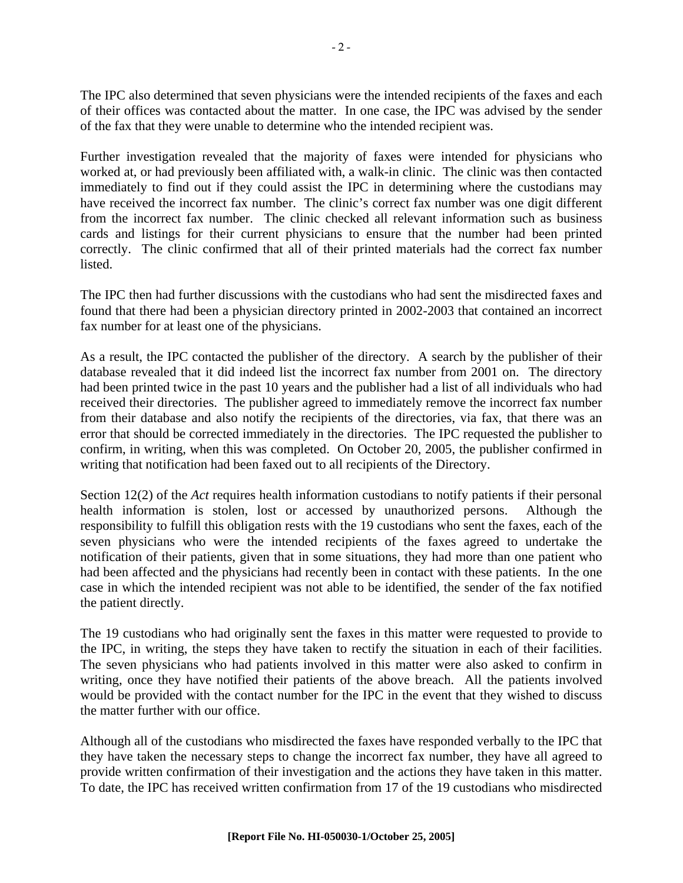The IPC also determined that seven physicians were the intended recipients of the faxes and each of their offices was contacted about the matter. In one case, the IPC was advised by the sender of the fax that they were unable to determine who the intended recipient was.

Further investigation revealed that the majority of faxes were intended for physicians who worked at, or had previously been affiliated with, a walk-in clinic. The clinic was then contacted immediately to find out if they could assist the IPC in determining where the custodians may have received the incorrect fax number. The clinic's correct fax number was one digit different from the incorrect fax number. The clinic checked all relevant information such as business cards and listings for their current physicians to ensure that the number had been printed correctly. The clinic confirmed that all of their printed materials had the correct fax number listed.

The IPC then had further discussions with the custodians who had sent the misdirected faxes and found that there had been a physician directory printed in 2002-2003 that contained an incorrect fax number for at least one of the physicians.

As a result, the IPC contacted the publisher of the directory. A search by the publisher of their database revealed that it did indeed list the incorrect fax number from 2001 on. The directory had been printed twice in the past 10 years and the publisher had a list of all individuals who had received their directories. The publisher agreed to immediately remove the incorrect fax number from their database and also notify the recipients of the directories, via fax, that there was an error that should be corrected immediately in the directories. The IPC requested the publisher to confirm, in writing, when this was completed. On October 20, 2005, the publisher confirmed in writing that notification had been faxed out to all recipients of the Directory.

Section 12(2) of the *Act* requires health information custodians to notify patients if their personal health information is stolen, lost or accessed by unauthorized persons. Although the responsibility to fulfill this obligation rests with the 19 custodians who sent the faxes, each of the seven physicians who were the intended recipients of the faxes agreed to undertake the notification of their patients, given that in some situations, they had more than one patient who had been affected and the physicians had recently been in contact with these patients. In the one case in which the intended recipient was not able to be identified, the sender of the fax notified the patient directly.

The 19 custodians who had originally sent the faxes in this matter were requested to provide to the IPC, in writing, the steps they have taken to rectify the situation in each of their facilities. The seven physicians who had patients involved in this matter were also asked to confirm in writing, once they have notified their patients of the above breach. All the patients involved would be provided with the contact number for the IPC in the event that they wished to discuss the matter further with our office.

Although all of the custodians who misdirected the faxes have responded verbally to the IPC that they have taken the necessary steps to change the incorrect fax number, they have all agreed to provide written confirmation of their investigation and the actions they have taken in this matter. To date, the IPC has received written confirmation from 17 of the 19 custodians who misdirected